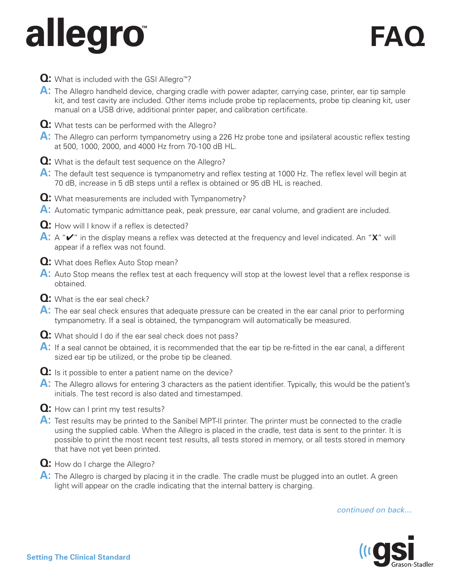## **allegro FAQ ™**

- **Q:** What is included with the GSI Allegro™?
- **A:** The Allegro handheld device, charging cradle with power adapter, carrying case, printer, ear tip sample kit, and test cavity are included. Other items include probe tip replacements, probe tip cleaning kit, user manual on a USB drive, additional printer paper, and calibration certificate.
- **Q:** What tests can be performed with the Allegro?
- A: The Allegro can perform tympanometry using a 226 Hz probe tone and ipsilateral acoustic reflex testing at 500, 1000, 2000, and 4000 Hz from 70-100 dB HL.
- **Q:** What is the default test sequence on the Allegro?
- A: The default test sequence is tympanometry and reflex testing at 1000 Hz. The reflex level will begin at 70 dB, increase in 5 dB steps until a reflex is obtained or 95 dB HL is reached.
- **Q:** What measurements are included with Tympanometry?
- **A:** Automatic tympanic admittance peak, peak pressure, ear canal volume, and gradient are included.
- **Q:** How will I know if a reflex is detected?
- **A:** A "✔" in the display means a reflex was detected at the frequency and level indicated. An "**X**" will appear if a reflex was not found.
- **Q:** What does Reflex Auto Stop mean?
- **A:** Auto Stop means the reflex test at each frequency will stop at the lowest level that a reflex response is obtained.
- **Q:** What is the ear seal check?
- **A:** The ear seal check ensures that adequate pressure can be created in the ear canal prior to performing tympanometry. If a seal is obtained, the tympanogram will automatically be measured.
- **Q:** What should I do if the ear seal check does not pass?
- **A:** If a seal cannot be obtained, it is recommended that the ear tip be re-fitted in the ear canal, a different sized ear tip be utilized, or the probe tip be cleaned.
- **Q:** Is it possible to enter a patient name on the device?
- A: The Allegro allows for entering 3 characters as the patient identifier. Typically, this would be the patient's initials. The test record is also dated and timestamped.
- **Q:** How can I print my test results?
- **A:** Test results may be printed to the Sanibel MPT-II printer. The printer must be connected to the cradle using the supplied cable. When the Allegro is placed in the cradle, test data is sent to the printer. It is possible to print the most recent test results, all tests stored in memory, or all tests stored in memory that have not yet been printed.
- **Q:** How do I charge the Allegro?
- **A:** The Allegro is charged by placing it in the cradle. The cradle must be plugged into an outlet. A green light will appear on the cradle indicating that the internal battery is charging.

## *continued on back…*